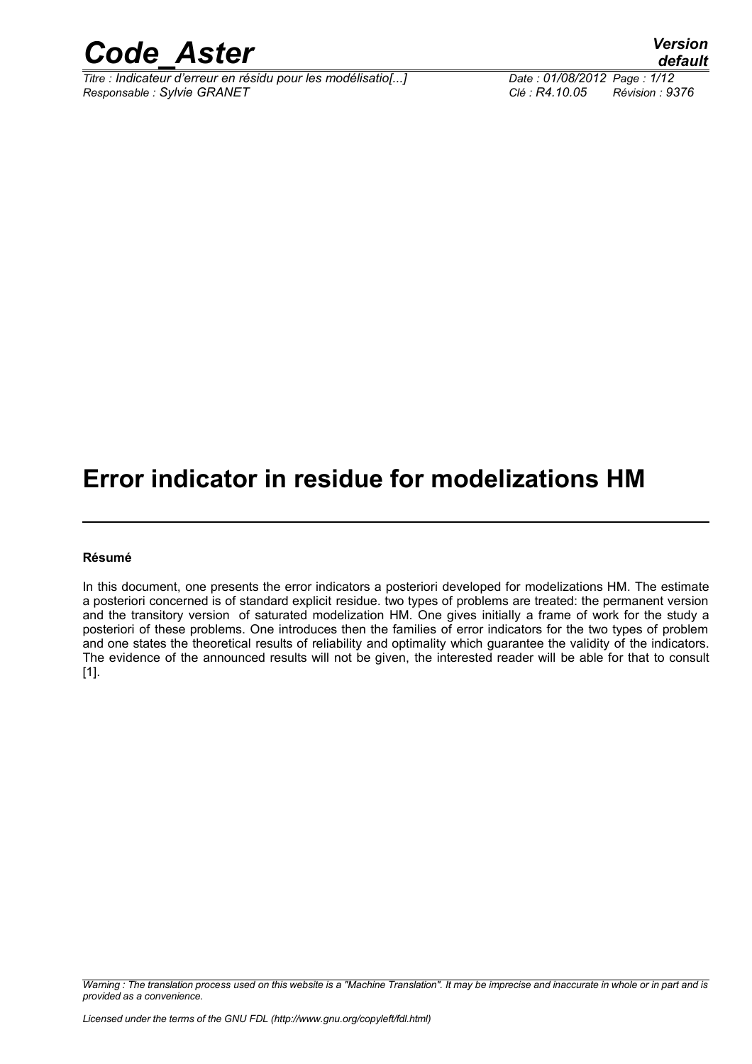

*Titre : Indicateur d'erreur en résidu pour les modélisatio[...] Date : 01/08/2012 Page : 1/12 Responsable : Sylvie GRANET Clé : R4.10.05 Révision : 9376*

*default*

### **Error indicator in residue for modelizations HM**

#### **Résumé**

In this document, one presents the error indicators a posteriori developed for modelizations HM. The estimate a posteriori concerned is of standard explicit residue. two types of problems are treated: the permanent version and the transitory version of saturated modelization HM. One gives initially a frame of work for the study a posteriori of these problems. One introduces then the families of error indicators for the two types of problem and one states the theoretical results of reliability and optimality which guarantee the validity of the indicators. The evidence of the announced results will not be given, the interested reader will be able for that to consult [1].

*Warning : The translation process used on this website is a "Machine Translation". It may be imprecise and inaccurate in whole or in part and is provided as a convenience.*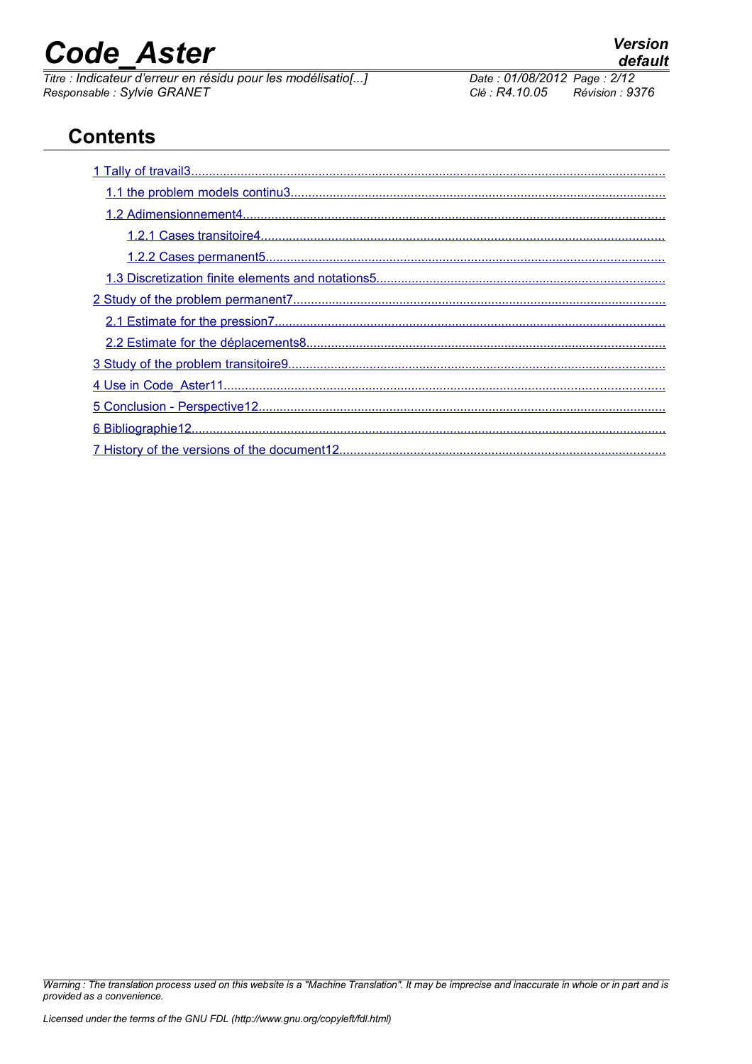*Titre : Indicateur d'erreur en résidu pour les modélisatio[...] Date : 01/08/2012 Date : 01/08/2012 Page : 201/08/2012 Responsable : Sylvie GRANET Clé : R4.10.05 Révision : 9376*

### **Contents**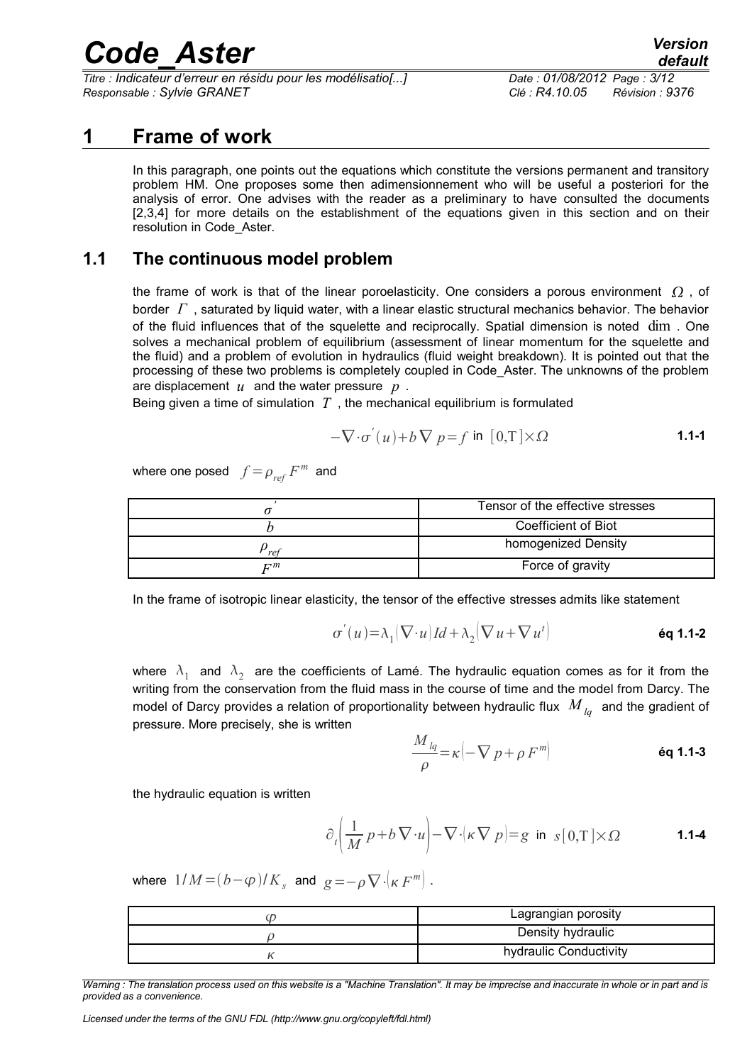*Titre : Indicateur d'erreur en résidu pour les modélisatio[...] Date : 01/08/2012 Page : 3/12 Responsable : Sylvie GRANET Clé : R4.10.05 Révision : 9376*

#### **1 Frame of work**

<span id="page-2-0"></span>In this paragraph, one points out the equations which constitute the versions permanent and transitory problem HM. One proposes some then adimensionnement who will be useful a posteriori for the analysis of error. One advises with the reader as a preliminary to have consulted the documents [2,3,4] for more details on the establishment of the equations given in this section and on their resolution in Code\_Aster.

#### **1.1 The continuous model problem**

<span id="page-2-1"></span>the frame of work is that of the linear poroelasticity. One considers a porous environment  $\Omega$ , of border *Γ* , saturated by liquid water, with a linear elastic structural mechanics behavior. The behavior of the fluid influences that of the squelette and reciprocally. Spatial dimension is noted dim . One solves a mechanical problem of equilibrium (assessment of linear momentum for the squelette and the fluid) and a problem of evolution in hydraulics (fluid weight breakdown). It is pointed out that the processing of these two problems is completely coupled in Code\_Aster. The unknowns of the problem are displacement *u* and the water pressure *p* .

Being given a time of simulation  $T$ , the mechanical equilibrium is formulated

$$
-\nabla \cdot \sigma'(u) + b \nabla p = f \text{ in } [0, T] \times \Omega \tag{1.1-1}
$$

where one posed  $f = \rho_{\it ref} \, F^{\it m}$  and

|                     | Tensor of the effective stresses |
|---------------------|----------------------------------|
|                     | <b>Coefficient of Biot</b>       |
| ref                 | homogenized Density              |
| $\mathbf{\Gamma}^m$ | Force of gravity                 |

In the frame of isotropic linear elasticity, the tensor of the effective stresses admits like statement

$$
\sigma'(u) = \lambda_1 (\nabla \cdot u) \, Id + \lambda_2 (\nabla u + \nabla u^t)
$$
\n
$$
\text{\'{eq 1.1-2}}
$$

where  $\lambda_1$  and  $\lambda_2$  are the coefficients of Lamé. The hydraulic equation comes as for it from the writing from the conservation from the fluid mass in the course of time and the model from Darcy. The model of Darcy provides a relation of proportionality between hydraulic flux *M lq* and the gradient of pressure. More precisely, she is written

$$
\frac{M_{lq}}{\rho} = \kappa \left( -\nabla p + \rho F^{m} \right)
$$

the hydraulic equation is written

$$
\partial_t \left( \frac{1}{M} p + b \nabla \cdot u \right) - \nabla \cdot (\kappa \nabla p) = g \text{ in } s[0, T] \times \Omega \tag{1.1-4}
$$

where  $1/M = (b - \varphi)/K_s$  and  $g = -\rho \nabla \cdot (\kappa F^m)$ .

| رن | Lagrangian porosity    |
|----|------------------------|
|    | Density hydraulic      |
|    | hydraulic Conductivity |

*Warning : The translation process used on this website is a "Machine Translation". It may be imprecise and inaccurate in whole or in part and is provided as a convenience.*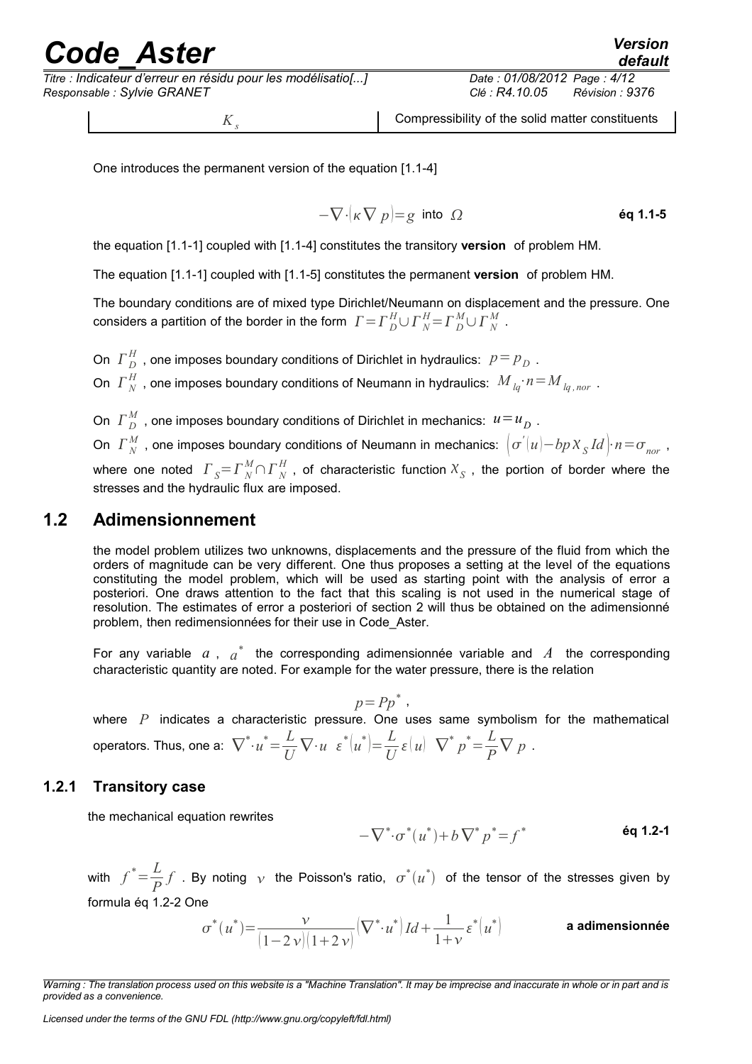# reade Aster<sup> Version</sup>

*Titre : Indicateur d'erreur en résidu pour les modélisatio[...] Date : 01/08/2012 Page : 4/12 Responsable : Sylvie GRANET Clé : R4.10.05 Révision : 9376*

 $K<sub>s</sub>$ 

Compressibility of the solid matter constituents

One introduces the permanent version of the equation [1.1-4]

$$
-\nabla \cdot (\kappa \nabla p) = g
$$
 into  $\Omega$  \t\t 6q 1.1-5

the equation [1.1-1] coupled with [1.1-4] constitutes the transitory **version** of problem HM.

The equation [1.1-1] coupled with [1.1-5] constitutes the permanent **version** of problem HM.

The boundary conditions are of mixed type Dirichlet/Neumann on displacement and the pressure. One considers a partition of the border in the form  $\; \; \; \; \Gamma \! = \! \varGamma \! \frac{H}{D} \! \cup \! \varGamma \! \frac{H}{N} \! = \! \varGamma \! \frac{M}{D} \! \cup \! \varGamma \! \frac{M}{N} \; .$ 

On  $\Gamma_D^H$  , one imposes boundary conditions of Dirichlet in hydraulics:  $p = p_D$  . On  $\varGamma_N^H$  , one imposes boundary conditions of Neumann in hydraulics:  $\left. M_{\stackrel{\cdot}{l}q}\cdot n\!=\!M_{\stackrel{\cdot}{l}q,\,nor}\right.$ 

On  $\varGamma_{|D}^M$  , one imposes boundary conditions of Dirichlet in mechanics:  $u{=}u_D^{}$  . On  $\varGamma_N^M$  , one imposes boundary conditions of Neumann in mechanics:  $\bigl(\sigma^{'}(u)\!-\!bp\,\mathcal{X}_{_S}Id\bigr)\cdot n\!=\!\sigma_{_{nor}}$  , where one noted  $\ \ \Gamma_{\ S} = \Gamma_{\ N}^M \cap \Gamma_{\ N}^H$  , of characteristic function  $\mathcal{X}_S$  , the portion of border where the stresses and the hydraulic flux are imposed.

#### **1.2 Adimensionnement**

<span id="page-3-1"></span>the model problem utilizes two unknowns, displacements and the pressure of the fluid from which the orders of magnitude can be very different. One thus proposes a setting at the level of the equations constituting the model problem, which will be used as starting point with the analysis of error a posteriori. One draws attention to the fact that this scaling is not used in the numerical stage of resolution. The estimates of error a posteriori of section 2 will thus be obtained on the adimensionné problem, then redimensionnées for their use in Code\_Aster.

For any variable  $a$ ,  $a^*$  the corresponding adimensionnée variable and  $A$  the corresponding characteristic quantity are noted. For example for the water pressure, there is the relation

 $p = P p^*$ ,

where *P* indicates a characteristic pressure. One uses same symbolism for the mathematical operators. Thus, one a:  $\nabla^* \cdot u^* = \frac{L}{L}$  $\frac{L}{U}\nabla \cdot u \cdot \varepsilon^* (u^*) = \frac{L}{U}$  $\frac{L}{U} \varepsilon (u) \nabla^* p^* = \frac{L}{P}$  $\frac{p}{P} \nabla p$ .

#### **1.2.1 Transitory case**

<span id="page-3-0"></span>the mechanical equation rewrites

$$
-\nabla^*\cdot\sigma^*(u^*) + b\nabla^* p^* = f^*
$$
éq 1.2-1

with  $f^* = \frac{L}{R}$  $\frac{L}{P}f$  . By noting  $\frac{1}{V}$  the Poisson's ratio,  $\sigma^*(u^*)$  of the tensor of the stresses given by formula éq 1.2-2 One

$$
\sigma^*(u^*) {=} \frac{\nu}{(1-2\,\nu)(1+2\,\nu)} \big(\nabla^*{\cdot} u^*\big) \, Id + \frac{1}{1+\nu} \varepsilon^*\big(u^*\big) \hspace{1.2cm} \text{a adimensionn\'ee}
$$

*Warning : The translation process used on this website is a "Machine Translation". It may be imprecise and inaccurate in whole or in part and is provided as a convenience.*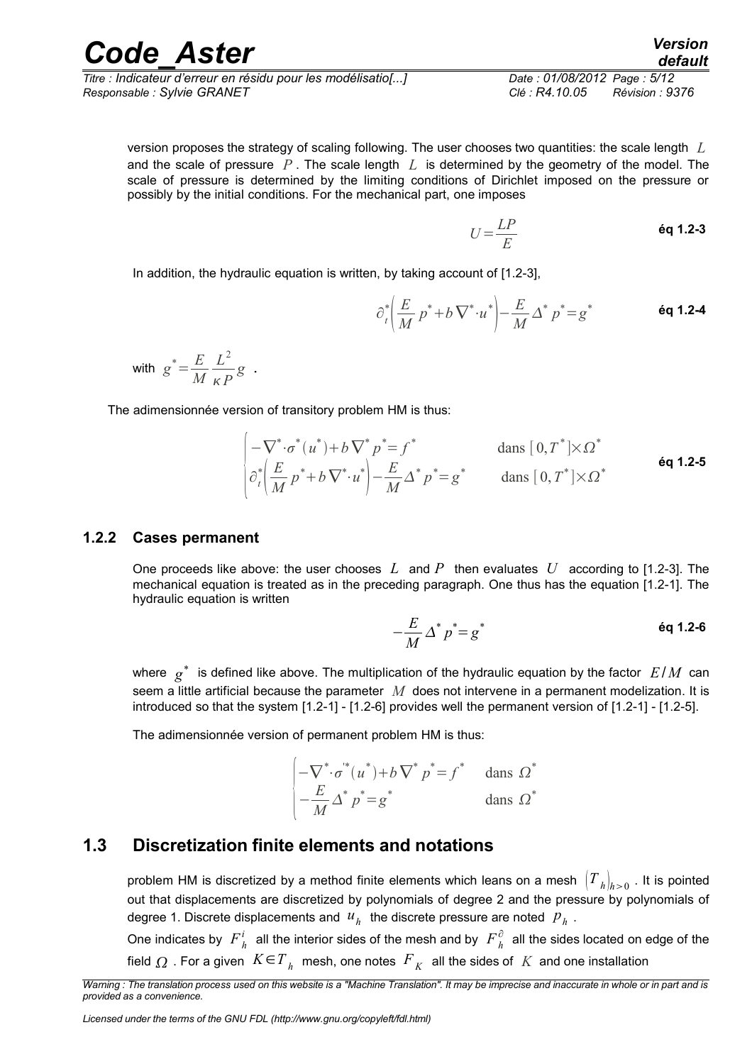*Titre : Indicateur d'erreur en résidu pour les modélisatio[...] Date : 01/08/2012 Page : 5/12 Responsable : Sylvie GRANET Clé : R4.10.05 Révision : 9376*

version proposes the strategy of scaling following. The user chooses two quantities: the scale length *L* and the scale of pressure *P* . The scale length *L* is determined by the geometry of the model. The scale of pressure is determined by the limiting conditions of Dirichlet imposed on the pressure or possibly by the initial conditions. For the mechanical part, one imposes

$$
U = \frac{LP}{E}
$$

In addition, the hydraulic equation is written, by taking account of [1.2-3],

$$
\partial_t^* \left( \frac{E}{M} p^* + b \nabla^* \cdot u^* \right) - \frac{E}{M} \Delta^* p^* = g^* \qquad \text{6q 1.2-4}
$$

with 
$$
g^* = \frac{E}{M} \frac{L^2}{\kappa P} g
$$
.

The adimensionnée version of transitory problem HM is thus:

$$
\begin{vmatrix}\n-\nabla^* \cdot \sigma^*(u^*) + b \nabla^* p^* = f^* & \text{dans } [0, T^*] \times \Omega^* \\
\frac{\partial^*}{\partial t} \left( \frac{E}{M} p^* + b \nabla^* u^* \right) - \frac{E}{M} \Delta^* p^* = g^* & \text{dans } [0, T^*] \times \Omega^* & \text{6q 1.2-5}\n\end{vmatrix}
$$

#### **1.2.2 Cases permanent**

<span id="page-4-1"></span>One proceeds like above: the user chooses *L* and *P* then evaluates *U* according to [1.2-3]. The mechanical equation is treated as in the preceding paragraph. One thus has the equation [1.2-1]. The hydraulic equation is written

$$
-\frac{E}{M}\Delta^* p^* = g^*
$$

where *g* \* is defined like above. The multiplication of the hydraulic equation by the factor *E*/ *M* can seem a little artificial because the parameter *M* does not intervene in a permanent modelization. It is introduced so that the system [1.2-1] - [1.2-6] provides well the permanent version of [1.2-1] - [1.2-5].

The adimensionnée version of permanent problem HM is thus:

$$
\begin{vmatrix} -\nabla^* \cdot \sigma^*(u^*) + b \nabla^* p^* = f^* & \text{dans } \Omega^* \\ -\frac{E}{M} \Delta^* p^* = g^* & \text{dans } \Omega^* \end{vmatrix}
$$

#### **1.3 Discretization finite elements and notations**

<span id="page-4-0"></span>problem HM is discretized by a method finite elements which leans on a mesh  $\, \left|T_{\;h}\right|_{h \geq 0}$  . It is pointed out that displacements are discretized by polynomials of degree 2 and the pressure by polynomials of degree 1. Discrete displacements and  $u_h^+$  the discrete pressure are noted  $|p_h^-|$ .

One indicates by  $F^i_{h}$  all the interior sides of the mesh and by  $F^{\hat{c}}_{h}$  all the sides located on edge of the field  $\varOmega$  . For a given  $\,K \! \in \! T_{\,h} \,$  mesh, one notes  $\,F_{\,K} \,$  all the sides of  $\,K \,$  and one installation

*Warning : The translation process used on this website is a "Machine Translation". It may be imprecise and inaccurate in whole or in part and is provided as a convenience.*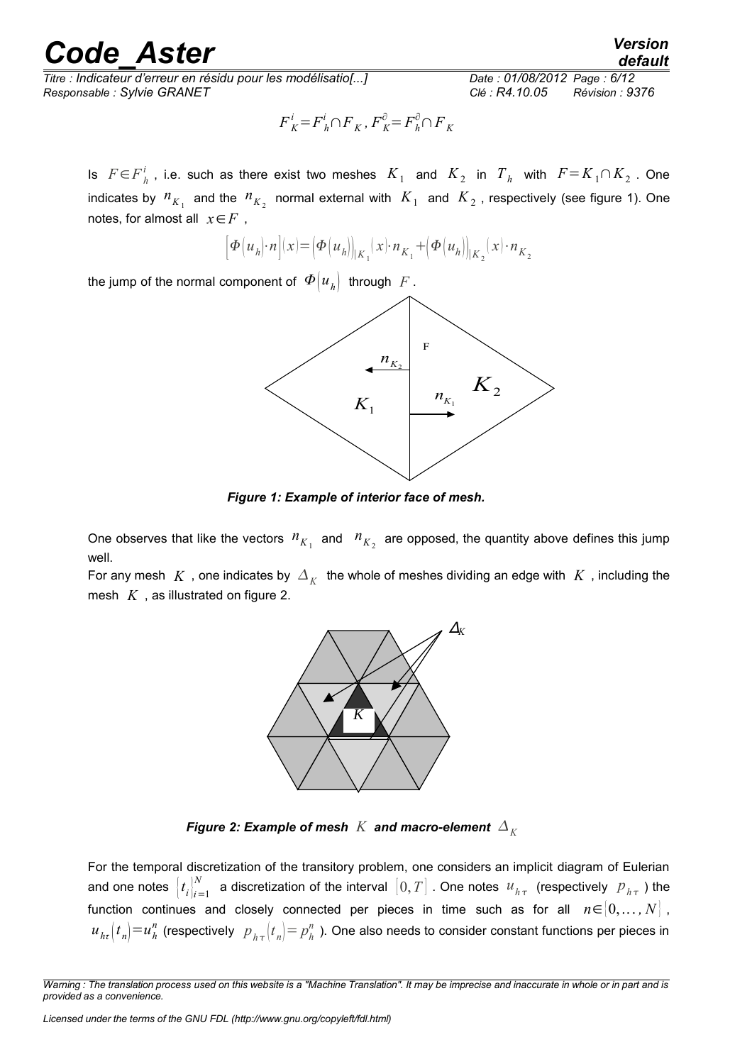*Titre : Indicateur d'erreur en résidu pour les modélisatio[...] Date : 01/08/2012 Page : 6/12 Responsable : Sylvie GRANET Clé : R4.10.05 Révision : 9376*

*default*

$$
F^i_{\,K}\!=\!F^i_{\,h}\!\cap\!F_{\,K}\,,\,F^{\partial}_{\,K}\!=\!F^{\partial}_{\,h}\!\cap F_{\,K}
$$

Is  $F \in F^i_{h}$  , i.e. such as there exist two meshes  $K_1$  and  $K_2$  in  $T_h$  with  $F = K_1 \cap K_2$  . One indicates by  $n_{K_1}$  and the  $n_{K_2}$  normal external with  $|K_1|$  and  $|K_2|$ , respectively (see figure 1). One notes, for almost all *x*∈*F* ,

$$
\left[ \Phi(u_h) \cdot n \right] (x) = \left( \Phi(u_h) \right)_{K_1} (x) \cdot n_{K_1} + \left( \Phi(u_h) \right)_{K_2} (x) \cdot n_{K_2}
$$

the jump of the normal component of  $\varPhi\bigl(u_{_h}\bigr)$  through  $\,F$  .



*Figure 1: Example of interior face of mesh.*

One observes that like the vectors  $n_{K_1}$  and  $n_{K_2}$  are opposed, the quantity above defines this jump well.

For any mesh  $|K|$  , one indicates by  $|{\Delta}_K|$  the whole of meshes dividing an edge with  $|K|$  , including the mesh *K* , as illustrated on figure 2.



*Figure 2: Example of mesh K* and macro-element  $\Delta_K$ 

For the temporal discretization of the transitory problem, one considers an implicit diagram of Eulerian and one notes  $\left| t_i \right|_{i=1}^{N}$  $\frac{N}{k-1}$  a discretization of the interval  $\big[0,T\big]$  . One notes  $\ u_{h\tau}\,$  (respectively  $\ P_{h\tau}\,$  ) the function continues and closely connected per pieces in time such as for all  $n \in [0,\ldots,N]$ ,  $u_{h\tau}(t_n)\!=\!u_h^n$  (respectively  $|p_{h\tau}(t_n)\!=\!p_h^n$  ). One also needs to consider constant functions per pieces in

*Warning : The translation process used on this website is a "Machine Translation". It may be imprecise and inaccurate in whole or in part and is provided as a convenience.*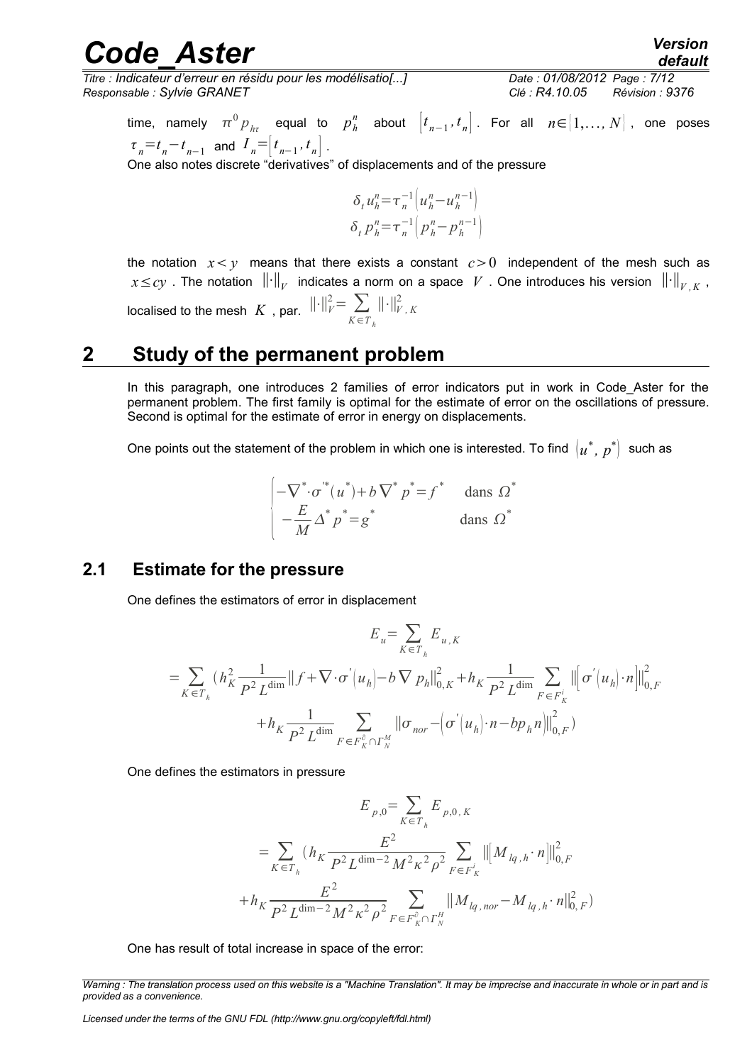*Titre : Indicateur d'erreur en résidu pour les modélisatio[...] Date : 01/08/2012 Page : 7/12 Responsable : Sylvie GRANET Clé : R4.10.05 Révision : 9376*

 $\mathsf{time},$   $\mathsf{namely}$   $\pi^0 p_{_{h\tau}}$  equal to  $p_h^n$  about  $\left[t_{_{n-1}},t_{_n}\right]$ . For all  $n{\in}{[1,\ldots,N]}$  , one poses  $\tau_n = t_n - t_{n-1}$  and  $I_n = \left| t_{n-1}, t_n \right|$ .

One also notes discrete "derivatives" of displacements and of the pressure

$$
\delta_t u_h^n = \tau_n^{-1} \left( u_h^n - u_h^{n-1} \right) \n\delta_t p_h^n = \tau_n^{-1} \left( p_h^n - p_h^{n-1} \right)
$$

the notation  $x < y$  means that there exists a constant  $c > 0$  independent of the mesh such as  $x{\le}cy$  . The notation  $\left\| \cdot \right\|_V$  indicates a norm on a space  $\;V$  . One introduces his version  $\;\left\| \cdot \right\|_{V,K}$  , localised to the mesh  $K$  , par.  $\lVert \cdot \rVert_F^2 = \sum_{x \in \mathbb{Z}^2}$ *K* ∈*T <sup>h</sup>* ∥⋅∥*<sup>V</sup> , <sup>K</sup>* 2

#### **2 Study of the permanent problem**

<span id="page-6-1"></span>In this paragraph, one introduces 2 families of error indicators put in work in Code Aster for the permanent problem. The first family is optimal for the estimate of error on the oscillations of pressure. Second is optimal for the estimate of error in energy on displacements.

One points out the statement of the problem in which one is interested. To find  $\left(u^*,\, p^*\right)$  such as

$$
\begin{cases}\n-\nabla^* \cdot \sigma^*(u^*) + b \nabla^* p^* = f^* \quad \text{ dans } \Omega^* \\
-\frac{E}{M} \Delta^* p^* = g^* \quad \text{ dans } \Omega^*\n\end{cases}
$$

#### **2.1 Estimate for the pressure**

<span id="page-6-0"></span>One defines the estimators of error in displacement

$$
E_{u} = \sum_{K \in T_{h}} E_{u,K}
$$
  
=  $\sum_{K \in T_{h}} (h_{K}^{2} \frac{1}{P^{2} L^{\dim}} || f + \nabla \cdot \sigma' (u_{h}) - b \nabla p_{h} ||_{0,K}^{2} + h_{K} \frac{1}{P^{2} L^{\dim}} \sum_{F \in F_{K}^{i}} || [\sigma' (u_{h}) \cdot n]||_{0,F}^{2}$   
+  $h_{K} \frac{1}{P^{2} L^{\dim}} \sum_{F \in F_{K}^{\partial} \cap T_{N}^{M}} || \sigma_{nor} - (\sigma' (u_{h}) \cdot n - bp_{h} n) ||_{0,F}^{2})$ 

One defines the estimators in pressure

$$
E_{p,0} = \sum_{K \in T_h} E_{p,0,K}
$$
  
= 
$$
\sum_{K \in T_h} (h_K \frac{E^2}{P^2 L^{\dim - 2} M^2 \kappa^2 \rho^2} \sum_{F \in F_K^i} ||[M_{lq,h} \cdot n]||_{0,F}^2
$$
  
+ 
$$
h_K \frac{E^2}{P^2 L^{\dim - 2} M^2 \kappa^2 \rho^2} \sum_{F \in F_K^{\partial} \cap F_N^H} ||M_{lq,nor} - M_{lq,h} \cdot n||_{0,F}^2)
$$

One has result of total increase in space of the error:

*Warning : The translation process used on this website is a "Machine Translation". It may be imprecise and inaccurate in whole or in part and is provided as a convenience.*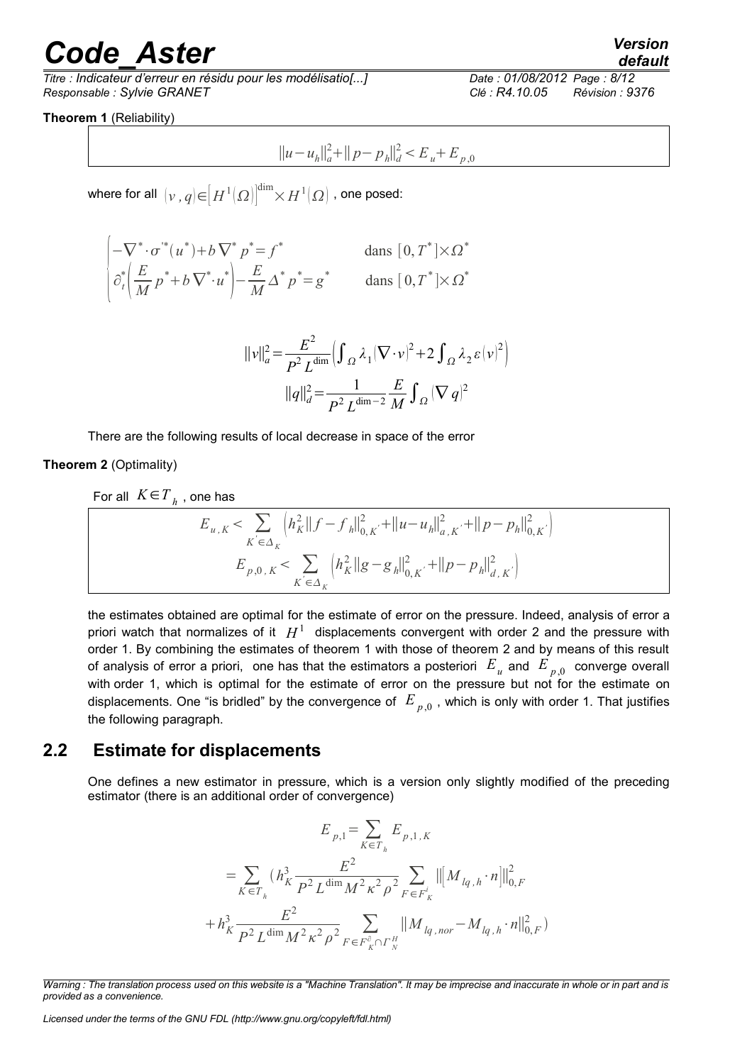*Titre : Indicateur d'erreur en résidu pour les modélisatio[...] Date : 01/08/2012 Page : 8/12 Responsable : Sylvie GRANET Clé : R4.10.05 Révision : 9376*

**Theorem 1** (Reliability)

$$
||u - u_h||_a^2 + ||p - p_h||_d^2 < E_u + E_{p,0}
$$

where for all  $\,left[\nu\,,q\right]\in\!\left[H^1(\varOmega)\right]^{\dim}\!\!\times\! H^1(\varOmega)\,$  , one posed:

$$
\begin{vmatrix}\n-\nabla^* \cdot \sigma^*(u^*) + b \nabla^* p^* = f^* & \text{dans } [0, T^*] \times \Omega^* \\
\frac{\partial^*}{\partial t} \left(\frac{E}{M} p^* + b \nabla^* u^*\right) - \frac{E}{M} \Delta^* p^* = g^* & \text{dans } [0, T^*] \times \Omega^*\n\end{vmatrix}
$$

$$
||v||_a^2 = \frac{E^2}{P^2 L^{\dim}} \Bigl( \int_{\Omega} \lambda_1 (\nabla \cdot v)^2 + 2 \int_{\Omega} \lambda_2 \varepsilon (v)^2 \Bigr)
$$
  

$$
||q||_d^2 = \frac{1}{P^2 L^{\dim - 2}} \frac{E}{M} \int_{\Omega} (\nabla q)^2
$$

There are the following results of local decrease in space of the error

**Theorem 2** (Optimality)

For all 
$$
K \in T_{h}
$$
, one has

$$
E_{u,K} < \sum_{K \in \Delta_K} \left( h_K^2 ||f - f_h||_{0,K'}^2 + ||u - u_h||_{a,K'}^2 + ||p - p_h||_{0,K'}^2 \right)
$$
  

$$
E_{p,0,K} < \sum_{K \in \Delta_K} \left( h_K^2 ||g - g_h||_{0,K'}^2 + ||p - p_h||_{d,K'}^2 \right)
$$

the estimates obtained are optimal for the estimate of error on the pressure. Indeed, analysis of error a priori watch that normalizes of it  $|H^1|$  displacements convergent with order 2 and the pressure with order 1. By combining the estimates of theorem 1 with those of theorem 2 and by means of this result of analysis of error a priori, one has that the estimators a posteriori  $|E_{|_\mathcal{U}}|$  and  $|E_{|_{\mathcal{P}},0}|$  converge overall with order 1, which is optimal for the estimate of error on the pressure but not for the estimate on displacements. One "is bridled" by the convergence of  $|E_{|p,0}^+|$  , which is only with order 1. That justifies the following paragraph.

#### **2.2 Estimate for displacements**

<span id="page-7-0"></span>One defines a new estimator in pressure, which is a version only slightly modified of the preceding estimator (there is an additional order of convergence)

$$
E_{p,1} = \sum_{K \in T_h} E_{p,1,K}
$$
  
= 
$$
\sum_{K \in T_h} (h_K^3 \frac{E^2}{P^2 L^{\dim} M^2 \kappa^2 \rho^2} \sum_{F \in F_K^i} ||[M_{lq,h} \cdot n]||_{0,F}^2
$$
  
+ 
$$
h_K^3 \frac{E^2}{P^2 L^{\dim} M^2 \kappa^2 \rho^2} \sum_{F \in F_K^{\partial} \cap F_K^H} ||M_{lq,nor} - M_{lq,h} \cdot n||_{0,F}^2)
$$

*Licensed under the terms of the GNU FDL (http://www.gnu.org/copyleft/fdl.html)*

*Warning : The translation process used on this website is a "Machine Translation". It may be imprecise and inaccurate in whole or in part and is provided as a convenience.*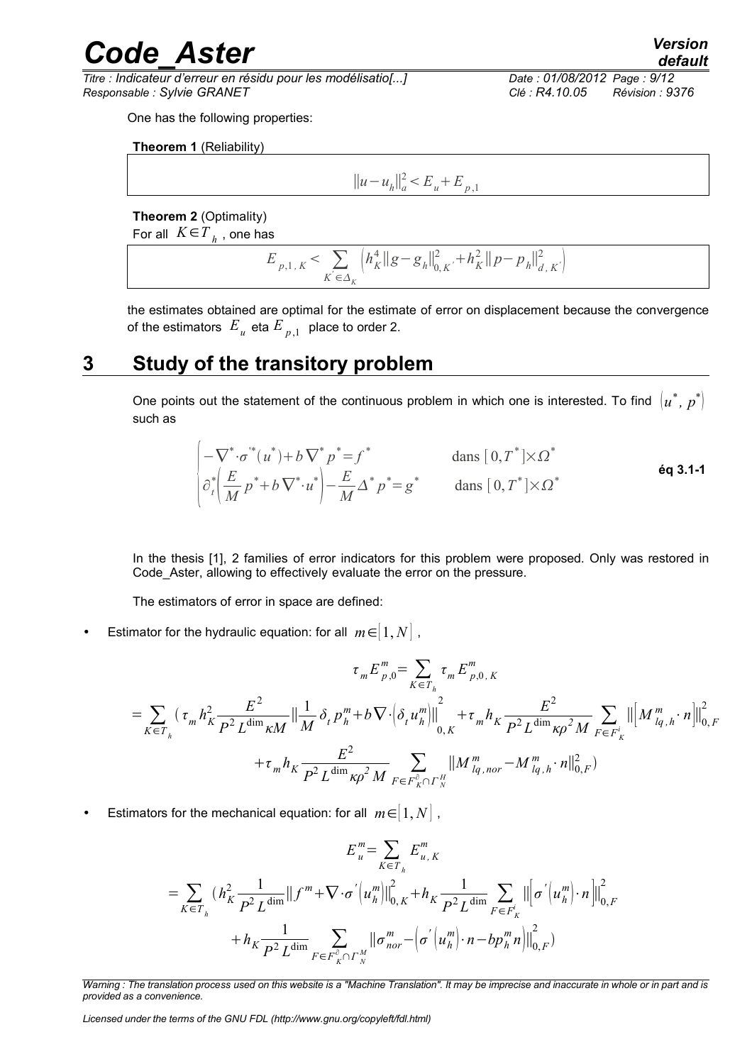*Titre : Indicateur d'erreur en résidu pour les modélisatio[...] Date : 01/08/2012 Page : 9/12 Responsable : Sylvie GRANET Clé : R4.10.05 Révision : 9376*

One has the following properties:

**Theorem 1** (Reliability)

$$
||u - u_h||_a^2 < E_u + E_{p,1}
$$

**Theorem 2** (Optimality)

For all  $K \epsilon T_{h}^{\dagger}$  , one has

$$
E_{p,1,K} < \sum_{K \in \Delta_K} \left( h_K^4 \|g - g_h\|_{0,K}^2 + h_K^2 \|p - p_h\|_{d,K}^2 \right)
$$

the estimates obtained are optimal for the estimate of error on displacement because the convergence of the estimators  $|E_{|u|}$  eta  $E_{|p|,1}$  place to order 2.

### **3 Study of the transitory problem**

<span id="page-8-0"></span>One points out the statement of the continuous problem in which one is interested. To find  $\left(u^{*},\, p^{*}\right)$ such as

$$
\begin{cases}\n-\nabla^*\cdot \sigma^*(u^*) + b\nabla^* p^* = f^* & \text{dans } [0, T^*] \times \Omega^* \\
\partial_t^* \left(\frac{E}{M} p^* + b\nabla^* \cdot u^*\right) - \frac{E}{M} \Delta^* p^* = g^* & \text{dans } [0, T^*] \times \Omega^*\n\end{cases}
$$

In the thesis [1], 2 families of error indicators for this problem were proposed. Only was restored in Code\_Aster, allowing to effectively evaluate the error on the pressure.

The estimators of error in space are defined:

Estimator for the hydraulic equation: for all  $m \in ]1, N]$ ,

$$
\tau_m E_{p,0}^m = \sum_{K \in T_h} \tau_m E_{p,0,K}^m
$$
  
=  $\sum_{K \in T_h} (\tau_m h_K^2 \frac{E^2}{P^2 L^{\dim} \kappa M} || \frac{1}{M} \delta_t p_h^m + b \nabla \cdot (\delta_t u_h^m) ||_{0,K}^2 + \tau_m h_K \frac{E^2}{P^2 L^{\dim} \kappa P^2 M} \sum_{F \in F_K^i} ||[M_{lq,h}^m \cdot n]||_{0,F}^2$   
+  $\tau_m h_K \frac{E^2}{P^2 L^{\dim} \kappa P^2 M} \sum_{F \in F_K^{\partial} \cap T_K^H} ||M_{lq,nor}^m - M_{lq,h}^m \cdot n||_{0,F}^2)$ 

Estimators for the mechanical equation: for all  $m \in [1, N]$ ,

$$
E_{u}^{m} = \sum_{K \in T_{h}} E_{u,K}^{m}
$$
  
= 
$$
\sum_{K \in T_{h}} (h_{K}^{2} \frac{1}{P^{2} L^{\dim}} || f^{m} + \nabla \cdot \sigma^{'} (u_{h}^{m}) ||_{0,K}^{2} + h_{K} \frac{1}{P^{2} L^{\dim}} \sum_{F \in F_{K}^{i}} || [\sigma^{'} (u_{h}^{m}) \cdot n] ||_{0,F}^{2}
$$
  
+ 
$$
h_{K} \frac{1}{P^{2} L^{\dim}} \sum_{F \in F_{K}^{\partial} \cap \Gamma_{N}^{M}} || \sigma^{m}_{nor} - (\sigma^{'} (u_{h}^{m}) \cdot n - bp_{h}^{m} n) ||_{0,F}^{2})
$$

*Licensed under the terms of the GNU FDL (http://www.gnu.org/copyleft/fdl.html)*

*Warning : The translation process used on this website is a "Machine Translation". It may be imprecise and inaccurate in whole or in part and is provided as a convenience.*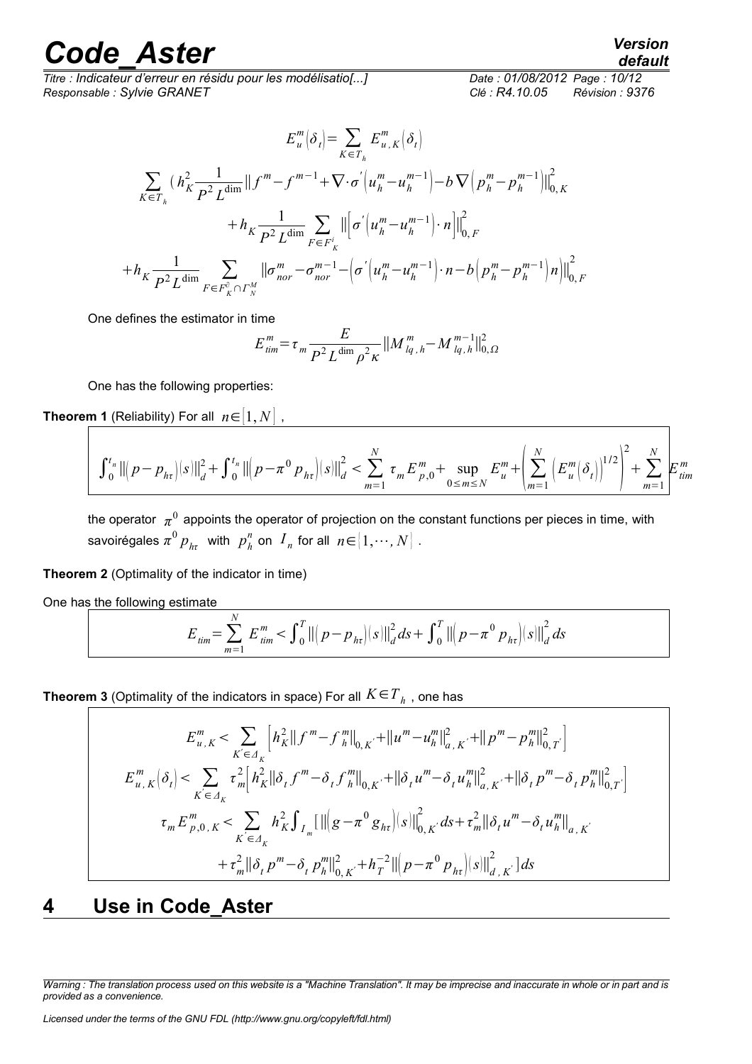*Titre : Indicateur d'erreur en résidu pour les modélisatio[...] Date : 01/08/2012 Page : 10/12 Responsable : Sylvie GRANET Clé : R4.10.05 Révision : 9376*

$$
E_{u}^{m}(\delta_{t}) = \sum_{K \in T_{h}} E_{u,K}^{m}(\delta_{t})
$$
\n
$$
\sum_{K \in T_{h}} (h_{K}^{2} \frac{1}{P^{2} L^{\dim}} || f^{m} - f^{m-1} + \nabla \cdot \sigma^{'}(u_{h}^{m} - u_{h}^{m-1}) - b \nabla (p_{h}^{m} - p_{h}^{m-1})||_{0,K}^{2}
$$
\n
$$
+ h_{K} \frac{1}{P^{2} L^{\dim}} \sum_{F \in F_{K}^{i}} || [\sigma^{'}(u_{h}^{m} - u_{h}^{m-1}) \cdot n]||_{0,F}^{2}
$$
\n
$$
+ h_{K} \frac{1}{P^{2} L^{\dim}} \sum_{F \in F_{K}^{\circ} \cap \Gamma_{N}^{M}} || \sigma_{nor}^{m} - \sigma_{nor}^{m-1} - (\sigma^{'}(u_{h}^{m} - u_{h}^{m-1}) \cdot n - b (p_{h}^{m} - p_{h}^{m-1}) n) ||_{0,F}^{2}
$$

One defines the estimator in time

$$
E_{\text{tim}}^m = \tau_m \frac{E}{P^2 L^{\dim} \rho^2 \kappa} ||M_{\text{lg},h}^m - M_{\text{lg},h}^{m-1}||_{0,\Omega}^2
$$

One has the following properties:

**Theorem 1** (Reliability) For all  $n \in [1, N]$ ,

$$
\int_0^{t_n} \left\| \left( p - p_{h\tau} \right) \right\|^2 dt + \int_0^{t_n} \left\| \left( p - \pi^0 p_{h\tau} \right) \right\|^2 dt \le \sum_{m=1}^N \tau_m E_{p,0}^m + \sup_{0 \le m \le N} E_u^m + \left( \sum_{m=1}^N \left( E_u^m \left( \delta_t \right) \right)^{1/2} \right)^2 + \sum_{m=1}^N E_{\text{time}}^m
$$

the operator  $\,\pi^0$  appoints the operator of projection on the constant functions per pieces in time, with savoirégales  $\pi^0\,p_{_{h\tau}}\,$  with  $\,p^{\mathit{n}}_{_{h}}$  on  $\,I_{_{n}}\,$  for all  $\,n\!\in\![\,1,\cdots,N\,]$  .

**Theorem 2** (Optimality of the indicator in time)

One has the following estimate

$$
E_{\text{tim}} = \sum_{m=1}^{N} E_{\text{tim}}^{m} < \int_{0}^{T} \left\| \left( p - p_{h\tau} \right) \right| s \right\|_{d}^{2} ds + \int_{0}^{T} \left\| \left( p - \pi^{0} p_{h\tau} \right) \right| s \right\|_{d}^{2} ds
$$

<code>Theorem 3</code> (Optimality of the indicators in space) For all  $K \! \in \! T_{\,h}^{}$  , one has

$$
E_{u,K}^{m} < \sum_{K' \in \Delta_{K}} \left[ h_{K}^{2} \| f^{m} - f_{h}^{m} \|_{0,K'}^{2} + \| u^{m} - u_{h}^{m} \|_{a,K'}^{2} + \| p^{m} - p_{h}^{m} \|_{0,T}^{2} \right]
$$
\n
$$
E_{u,K}^{m} \left( \delta_{t} \right) < \sum_{K' \in \Delta_{K}} \tau_{m}^{2} \left[ h_{K}^{2} \| \delta_{t} f^{m} - \delta_{t} f_{h}^{m} \|_{0,K'}^{2} + \| \delta_{t} u^{m} - \delta_{t} u_{h}^{m} \|_{a,K'}^{2} + \| \delta_{t} p^{m} - \delta_{t} p_{h}^{m} \|_{0,T'}^{2} \right]
$$
\n
$$
\tau_{m} E_{p,0,K}^{m} < \sum_{K' \in \Delta_{K}} h_{K}^{2} \int_{I_{m}} \left[ \| \left( g - \pi^{0} g_{h\tau} \right) \left( s \right) \|_{0,K'}^{2} ds + \tau_{m}^{2} \| \delta_{t} u^{m} - \delta_{t} u_{h}^{m} \|_{a,K'}^{2} + \tau_{m}^{2} \| \delta_{t} p^{m} - \delta_{t} p_{h}^{m} \|_{0,K'}^{2} + h_{T}^{-2} \| \left( p - \pi^{0} p_{h\tau} \right) \left( s \right) \|_{a,K'}^{2} \right] ds
$$

### <span id="page-9-0"></span>**4 Use in Code\_Aster**

*Warning : The translation process used on this website is a "Machine Translation". It may be imprecise and inaccurate in whole or in part and is provided as a convenience.*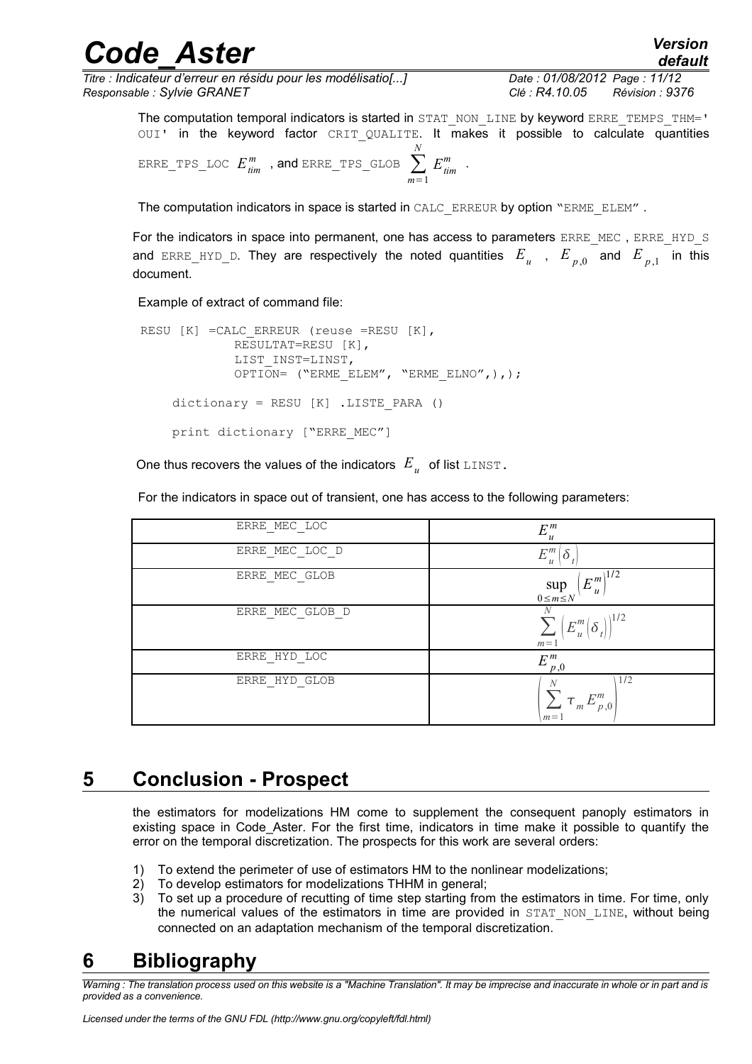*Titre : Indicateur d'erreur en résidu pour les modélisatio[...] Date : 01/08/2012 Page : 11/12 Responsable : Sylvie GRANET Clé : R4.10.05 Révision : 9376*

*default*

The computation temporal indicators is started in STAT\_NON\_LINE by keyword ERRE\_TEMPS\_THM=' OUI' in the keyword factor CRIT QUALITE. It makes it possible to calculate quantities  ${\tt ERRE\_TPS\_LOC}\;\;E^{m}_{\mathit{tim}}\;\;$  , and  ${\tt ERRE\_TPS\_GLOB}\;\sum_{m=1}^{M}\;\;$ *N*  $E^{m}_{\text{tim}}$  .

The computation indicators in space is started in CALC\_ERREUR by option "ERME\_ELEM".

For the indicators in space into permanent, one has access to parameters ERRE\_MEC, ERRE\_HYD\_S and ERRE\_HYD\_D. They are respectively the noted quantities  $|E_{|u}$  ,  $|E_{|p,0}$  and  $|E_{|p,1}$  in this document.

Example of extract of command file:

```
RESU [K] = CALC ERREUR (reuse =RESU [K],
              RESULTAT=RESU [K], 
              LIST_INST=LINST, 
             OPTION= ("ERME_ELEM", "ERME_ELNO",),);
    dictionary = RESU [K] .LISTE_PARA ()
    print dictionary ["ERRE MEC"]
```
One thus recovers the values of the indicators  $|E_{u}|$  of list  $_{\text{LINST}}$ .

For the indicators in space out of transient, one has access to the following parameters:

| ERRE MEC LOC    | $E_{u}^{m}$<br>$\boldsymbol{u}$                          |
|-----------------|----------------------------------------------------------|
| ERRE MEC LOC D  | $E^m$<br>Ò<br>$\mathcal{U}$                              |
| ERRE MEC GLOB   | $(E_u^{\overline{m}})^{1/2}$<br>$\sup_{0 \le m \le N}$   |
| ERRE MEC GLOB D | N<br>1/2<br>$E_{u}^{m}$<br>$\delta$<br>$m=1$             |
| ERRE HYD LOC    | $E^m$<br>$p_{,0}$                                        |
| ERRE HYD GLOB   | 1/2<br>N<br>$\sum~{\tau }_{m}\,{E}_{p\,,0}^{m}$<br>$m=1$ |

### **5 Conclusion - Prospect**

<span id="page-10-1"></span>the estimators for modelizations HM come to supplement the consequent panoply estimators in existing space in Code Aster. For the first time, indicators in time make it possible to quantify the error on the temporal discretization. The prospects for this work are several orders:

- 1) To extend the perimeter of use of estimators HM to the nonlinear modelizations;
- 2) To develop estimators for modelizations THHM in general;
- 3) To set up a procedure of recutting of time step starting from the estimators in time. For time, only the numerical values of the estimators in time are provided in STAT NON LINE, without being connected on an adaptation mechanism of the temporal discretization.

### <span id="page-10-0"></span>**6 Bibliography**

*Warning : The translation process used on this website is a "Machine Translation". It may be imprecise and inaccurate in whole or in part and is provided as a convenience.*